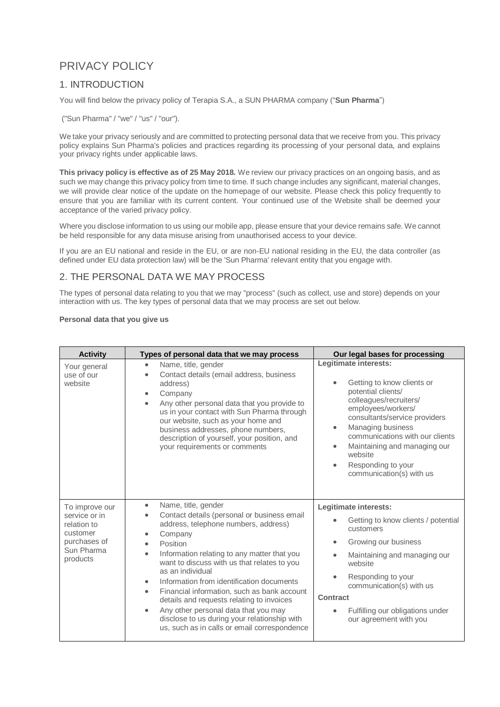# PRIVACY POLICY

## 1. INTRODUCTION

You will find below the privacy policy of Terapia S.A., a SUN PHARMA company ("**Sun Pharma**")

("Sun Pharma" / "we" / "us" / "our").

We take your privacy seriously and are committed to protecting personal data that we receive from you. This privacy policy explains Sun Pharma's policies and practices regarding its processing of your personal data, and explains your privacy rights under applicable laws.

**This privacy policy is effective as of 25 May 2018.** We review our privacy practices on an ongoing basis, and as such we may change this privacy policy from time to time. If such change includes any significant, material changes, we will provide clear notice of the update on the homepage of our website. Please check this policy frequently to ensure that you are familiar with its current content. Your continued use of the Website shall be deemed your acceptance of the varied privacy policy.

Where you disclose information to us using our mobile app, please ensure that your device remains safe. We cannot be held responsible for any data misuse arising from unauthorised access to your device.

If you are an EU national and reside in the EU, or are non-EU national residing in the EU, the data controller (as defined under EU data protection law) will be the 'Sun Pharma' relevant entity that you engage with.

### 2. THE PERSONAL DATA WE MAY PROCESS

The types of personal data relating to you that we may "process" (such as collect, use and store) depends on your interaction with us. The key types of personal data that we may process are set out below.

#### **Personal data that you give us**

| <b>Activity</b>                                                                                      | Types of personal data that we may process                                                                                                                                                                                                                                                                                                                                                                                                                                                                                                                                                                              | Our legal bases for processing                                                                                                                                                                                                                                                                                  |
|------------------------------------------------------------------------------------------------------|-------------------------------------------------------------------------------------------------------------------------------------------------------------------------------------------------------------------------------------------------------------------------------------------------------------------------------------------------------------------------------------------------------------------------------------------------------------------------------------------------------------------------------------------------------------------------------------------------------------------------|-----------------------------------------------------------------------------------------------------------------------------------------------------------------------------------------------------------------------------------------------------------------------------------------------------------------|
| Your general<br>use of our<br>website                                                                | Name, title, gender<br>$\bullet$<br>Contact details (email address, business<br>$\bullet$<br>address)<br>Company<br>$\bullet$<br>Any other personal data that you provide to<br>$\bullet$<br>us in your contact with Sun Pharma through<br>our website, such as your home and<br>business addresses, phone numbers,<br>description of yourself, your position, and<br>your requirements or comments                                                                                                                                                                                                                     | Legitimate interests:<br>Getting to know clients or<br>potential clients/<br>colleagues/recruiters/<br>employees/workers/<br>consultants/service providers<br>Managing business<br>communications with our clients<br>Maintaining and managing our<br>website<br>Responding to your<br>communication(s) with us |
| To improve our<br>service or in<br>relation to<br>customer<br>purchases of<br>Sun Pharma<br>products | Name, title, gender<br>$\bullet$<br>Contact details (personal or business email<br>address, telephone numbers, address)<br>Company<br>$\bullet$<br>Position<br>$\bullet$<br>Information relating to any matter that you<br>$\bullet$<br>want to discuss with us that relates to you<br>as an individual<br>Information from identification documents<br>۰<br>Financial information, such as bank account<br>$\bullet$<br>details and requests relating to invoices<br>Any other personal data that you may<br>$\bullet$<br>disclose to us during your relationship with<br>us, such as in calls or email correspondence | Legitimate interests:<br>Getting to know clients / potential<br>customers<br>Growing our business<br>$\bullet$<br>Maintaining and managing our<br>website<br>Responding to your<br>communication(s) with us<br><b>Contract</b><br>Fulfilling our obligations under<br>our agreement with you                    |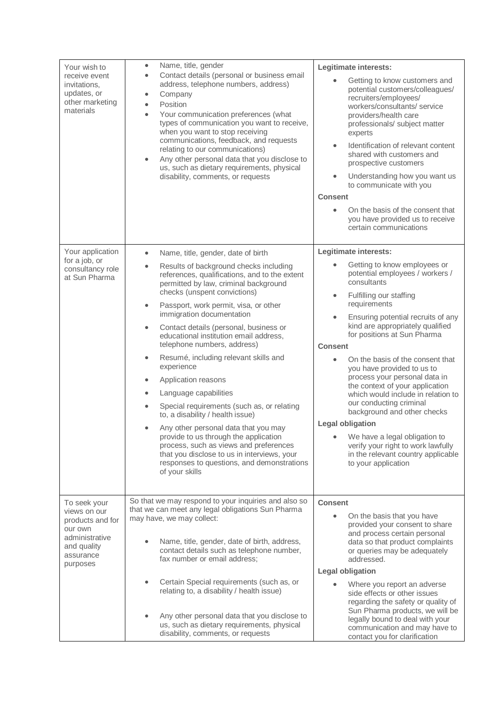| Your wish to<br>receive event<br>invitations,<br>updates, or<br>other marketing<br>materials                          | Name, title, gender<br>$\bullet$<br>Contact details (personal or business email<br>$\bullet$<br>address, telephone numbers, address)<br>Company<br>$\bullet$<br>Position<br>$\bullet$<br>Your communication preferences (what<br>$\bullet$<br>types of communication you want to receive,<br>when you want to stop receiving<br>communications, feedback, and requests<br>relating to our communications)<br>Any other personal data that you disclose to<br>$\bullet$<br>us, such as dietary requirements, physical<br>disability, comments, or requests | Legitimate interests:<br>Getting to know customers and<br>potential customers/colleagues/<br>recruiters/employees/<br>workers/consultants/service<br>providers/health care<br>professionals/ subject matter<br>experts<br>Identification of relevant content<br>shared with customers and<br>prospective customers<br>Understanding how you want us<br>to communicate with you<br><b>Consent</b><br>On the basis of the consent that<br>you have provided us to receive<br>certain communications |
|-----------------------------------------------------------------------------------------------------------------------|-----------------------------------------------------------------------------------------------------------------------------------------------------------------------------------------------------------------------------------------------------------------------------------------------------------------------------------------------------------------------------------------------------------------------------------------------------------------------------------------------------------------------------------------------------------|---------------------------------------------------------------------------------------------------------------------------------------------------------------------------------------------------------------------------------------------------------------------------------------------------------------------------------------------------------------------------------------------------------------------------------------------------------------------------------------------------|
|                                                                                                                       |                                                                                                                                                                                                                                                                                                                                                                                                                                                                                                                                                           |                                                                                                                                                                                                                                                                                                                                                                                                                                                                                                   |
| Your application                                                                                                      | Name, title, gender, date of birth<br>$\bullet$                                                                                                                                                                                                                                                                                                                                                                                                                                                                                                           | Legitimate interests:                                                                                                                                                                                                                                                                                                                                                                                                                                                                             |
| for a job, or<br>consultancy role<br>at Sun Pharma                                                                    | Results of background checks including<br>$\bullet$<br>references, qualifications, and to the extent<br>permitted by law, criminal background<br>checks (unspent convictions)<br>Passport, work permit, visa, or other<br>$\bullet$<br>immigration documentation<br>Contact details (personal, business or<br>$\bullet$<br>educational institution email address,<br>telephone numbers, address)<br>Resumé, including relevant skills and<br>$\bullet$<br>experience                                                                                      | Getting to know employees or<br>potential employees / workers /<br>consultants<br>Fulfilling our staffing<br>requirements<br>Ensuring potential recruits of any<br>$\bullet$<br>kind are appropriately qualified<br>for positions at Sun Pharma<br><b>Consent</b><br>On the basis of the consent that<br>you have provided to us to                                                                                                                                                               |
|                                                                                                                       | Application reasons<br>$\bullet$<br>Language capabilities<br>$\bullet$<br>Special requirements (such as, or relating<br>to, a disability / health issue)<br>Any other personal data that you may<br>$\bullet$<br>provide to us through the application<br>process, such as views and preferences<br>that you disclose to us in interviews, your<br>responses to questions, and demonstrations<br>of your skills                                                                                                                                           | process your personal data in<br>the context of your application<br>which would include in relation to<br>our conducting criminal<br>background and other checks<br><b>Legal obligation</b><br>We have a legal obligation to<br>verify your right to work lawfully<br>in the relevant country applicable<br>to your application                                                                                                                                                                   |
| To seek your<br>views on our<br>products and for<br>our own<br>administrative<br>and quality<br>assurance<br>purposes | So that we may respond to your inquiries and also so<br>that we can meet any legal obligations Sun Pharma<br>may have, we may collect:<br>Name, title, gender, date of birth, address,<br>contact details such as telephone number,<br>fax number or email address;<br>Certain Special requirements (such as, or<br>relating to, a disability / health issue)<br>Any other personal data that you disclose to<br>us, such as dietary requirements, physical<br>disability, comments, or requests                                                          | <b>Consent</b><br>On the basis that you have<br>$\bullet$<br>provided your consent to share<br>and process certain personal<br>data so that product complaints<br>or queries may be adequately<br>addressed.<br><b>Legal obligation</b><br>Where you report an adverse<br>side effects or other issues<br>regarding the safety or quality of<br>Sun Pharma products, we will be<br>legally bound to deal with your<br>communication and may have to<br>contact you for clarification              |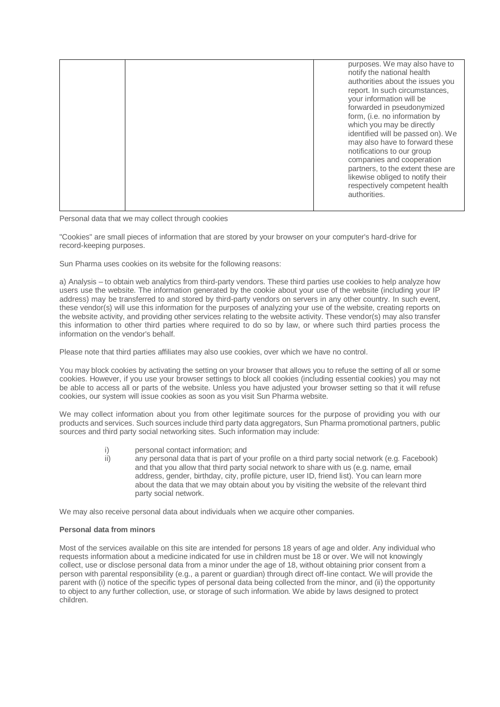|  |  |  | purposes. We may also have to<br>notify the national health<br>authorities about the issues you<br>report. In such circumstances,<br>vour information will be<br>forwarded in pseudonymized<br>form, (i.e. no information by<br>which you may be directly<br>identified will be passed on). We<br>may also have to forward these<br>notifications to our group<br>companies and cooperation<br>partners, to the extent these are<br>likewise obliged to notify their<br>respectively competent health<br>authorities. |
|--|--|--|-----------------------------------------------------------------------------------------------------------------------------------------------------------------------------------------------------------------------------------------------------------------------------------------------------------------------------------------------------------------------------------------------------------------------------------------------------------------------------------------------------------------------|
|--|--|--|-----------------------------------------------------------------------------------------------------------------------------------------------------------------------------------------------------------------------------------------------------------------------------------------------------------------------------------------------------------------------------------------------------------------------------------------------------------------------------------------------------------------------|

Personal data that we may collect through cookies

"Cookies" are small pieces of information that are stored by your browser on your computer's hard-drive for record-keeping purposes.

Sun Pharma uses cookies on its website for the following reasons:

a) Analysis – to obtain web analytics from third-party vendors. These third parties use cookies to help analyze how users use the website. The information generated by the cookie about your use of the website (including your IP address) may be transferred to and stored by third-party vendors on servers in any other country. In such event, these vendor(s) will use this information for the purposes of analyzing your use of the website, creating reports on the website activity, and providing other services relating to the website activity. These vendor(s) may also transfer this information to other third parties where required to do so by law, or where such third parties process the information on the vendor's behalf.

Please note that third parties affiliates may also use cookies, over which we have no control.

You may block cookies by activating the setting on your browser that allows you to refuse the setting of all or some cookies. However, if you use your browser settings to block all cookies (including essential cookies) you may not be able to access all or parts of the website. Unless you have adjusted your browser setting so that it will refuse cookies, our system will issue cookies as soon as you visit Sun Pharma website.

We may collect information about you from other legitimate sources for the purpose of providing you with our products and services. Such sources include third party data aggregators, Sun Pharma promotional partners, public sources and third party social networking sites. Such information may include:

i) personal contact information; and ii) any personal data that is part of your profile on a third party social network (e.g. Facebook) and that you allow that third party social network to share with us (e.g. name, email address, gender, birthday, city, profile picture, user ID, friend list). You can learn more about the data that we may obtain about you by visiting the website of the relevant third

We may also receive personal data about individuals when we acquire other companies.

party social network.

#### **Personal data from minors**

Most of the services available on this site are intended for persons 18 years of age and older. Any individual who requests information about a medicine indicated for use in children must be 18 or over. We will not knowingly collect, use or disclose personal data from a minor under the age of 18, without obtaining prior consent from a person with parental responsibility (e.g., a parent or guardian) through direct off-line contact. We will provide the parent with (i) notice of the specific types of personal data being collected from the minor, and (ii) the opportunity to object to any further collection, use, or storage of such information. We abide by laws designed to protect children.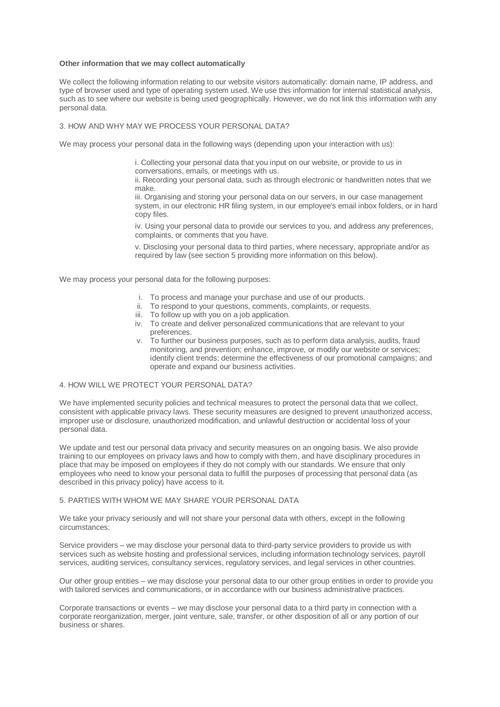#### **Other information that we may collect automatically**

We collect the following information relating to our website visitors automatically: domain name, IP address, and type of browser used and type of operating system used. We use this information for internal statistical analysis, such as to see where our website is being used geographically. However, we do not link this information with any personal data.

#### 3. HOW AND WHY MAY WE PROCESS YOUR PERSONAL DATA?

We may process your personal data in the following ways (depending upon your interaction with us):

i. Collecting your personal data that you input on our website, or provide to us in conversations, emails, or meetings with us.

ii. Recording your personal data, such as through electronic or handwritten notes that we make.

iii. Organising and storing your personal data on our servers, in our case management system, in our electronic HR filing system, in our employee's email inbox folders, or in hard copy files.

iv. Using your personal data to provide our services to you, and address any preferences, complaints, or comments that you have.

v. Disclosing your personal data to third parties, where necessary, appropriate and/or as required by law (see section 5 providing more information on this below).

We may process your personal data for the following purposes:

- i. To process and manage your purchase and use of our products.
- To respond to your questions, comments, complaints, or requests. ii. To respond to your questions, comments,<br>iii. To follow up with you on a job application.
- 
- iv. To create and deliver personalized communications that are relevant to your preferences.
- v. To further our business purposes, such as to perform data analysis, audits, fraud monitoring, and prevention; enhance, improve, or modify our website or services; identify client trends; determine the effectiveness of our promotional campaigns; and operate and expand our business activities.

#### 4. HOW WILL WE PROTECT YOUR PERSONAL DATA?

We have implemented security policies and technical measures to protect the personal data that we collect, consistent with applicable privacy laws. These security measures are designed to prevent unauthorized access, improper use or disclosure, unauthorized modification, and unlawful destruction or accidental loss of your personal data.

We update and test our personal data privacy and security measures on an ongoing basis. We also provide training to our employees on privacy laws and how to comply with them, and have disciplinary procedures in place that may be imposed on employees if they do not comply with our standards. We ensure that only employees who need to know your personal data to fulfill the purposes of processing that personal data (as described in this privacy policy) have access to it.

#### 5. PARTIES WITH WHOM WE MAY SHARE YOUR PERSONAL DATA

We take your privacy seriously and will not share your personal data with others, except in the following circumstances:

Service providers – we may disclose your personal data to third-party service providers to provide us with services such as website hosting and professional services, including information technology services, payroll services, auditing services, consultancy services, regulatory services, and legal services in other countries.

Our other group entities – we may disclose your personal data to our other group entities in order to provide you with tailored services and communications, or in accordance with our business administrative practices.

Corporate transactions or events – we may disclose your personal data to a third party in connection with a corporate reorganization, merger, joint venture, sale, transfer, or other disposition of all or any portion of our business or shares.